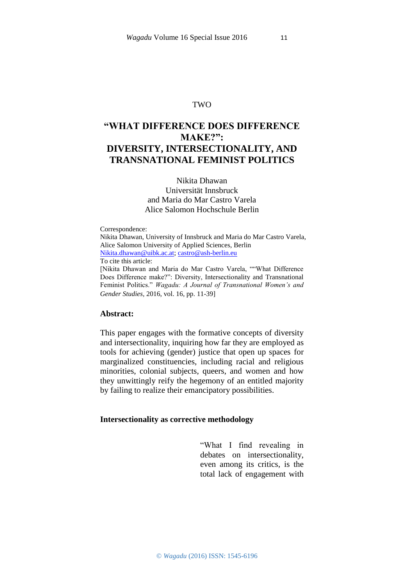# TWO

# **"WHAT DIFFERENCE DOES DIFFERENCE MAKE?": DIVERSITY, INTERSECTIONALITY, AND TRANSNATIONAL FEMINIST POLITICS**

Nikita Dhawan Universität Innsbruck and Maria do Mar Castro Varela Alice Salomon Hochschule Berlin

Correspondence:

Nikita Dhawan, University of Innsbruck and Maria do Mar Castro Varela, Alice Salomon University of Applied Sciences, Berlin [Nikita.dhawan@uibk.ac.at; castro@ash-berlin.eu](file:///C:/Users/dhawan/AppData/Local/Temp/%22mailto:)

To cite this article:

[Nikita Dhawan and Maria do Mar Castro Varela, ""What Difference Does Difference make?": Diversity, Intersectionality and Transnational Feminist Politics." *Wagadu: A Journal of Transnational Women's and Gender Studies,* 2016, vol. 16, pp. 11-39]

### **Abstract:**

This paper engages with the formative concepts of diversity and intersectionality, inquiring how far they are employed as tools for achieving (gender) justice that open up spaces for marginalized constituencies, including racial and religious minorities, colonial subjects, queers, and women and how they unwittingly reify the hegemony of an entitled majority by failing to realize their emancipatory possibilities.

#### **Intersectionality as corrective methodology**

"What I find revealing in debates on intersectionality, even among its critics, is the total lack of engagement with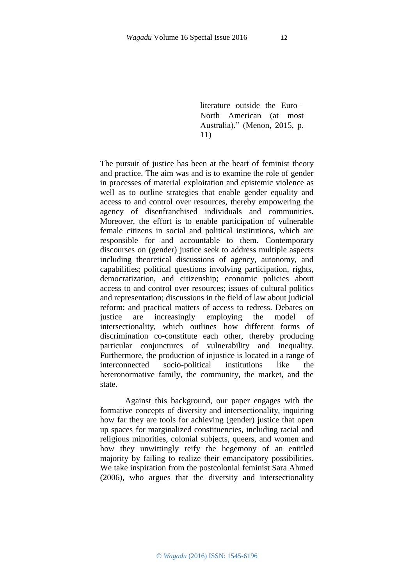literature outside the Euro – North American (at most Australia)." (Menon, 2015, p. 11)

The pursuit of justice has been at the heart of feminist theory and practice. The aim was and is to examine the role of gender in processes of material exploitation and epistemic violence as well as to outline strategies that enable gender equality and access to and control over resources, thereby empowering the agency of disenfranchised individuals and communities. Moreover, the effort is to enable participation of vulnerable female citizens in social and political institutions, which are responsible for and accountable to them. Contemporary discourses on (gender) justice seek to address multiple aspects including theoretical discussions of agency, autonomy, and capabilities; political questions involving participation, rights, democratization, and citizenship; economic policies about access to and control over resources; issues of cultural politics and representation; discussions in the field of law about judicial reform; and practical matters of access to redress. Debates on justice are increasingly employing the model of intersectionality, which outlines how different forms of discrimination co-constitute each other, thereby producing particular conjunctures of vulnerability and inequality. Furthermore, the production of injustice is located in a range of interconnected socio-political institutions like the heteronormative family, the community, the market, and the state.

Against this background, our paper engages with the formative concepts of diversity and intersectionality, inquiring how far they are tools for achieving (gender) justice that open up spaces for marginalized constituencies, including racial and religious minorities, colonial subjects, queers, and women and how they unwittingly reify the hegemony of an entitled majority by failing to realize their emancipatory possibilities. We take inspiration from the postcolonial feminist Sara Ahmed (2006), who argues that the diversity and intersectionality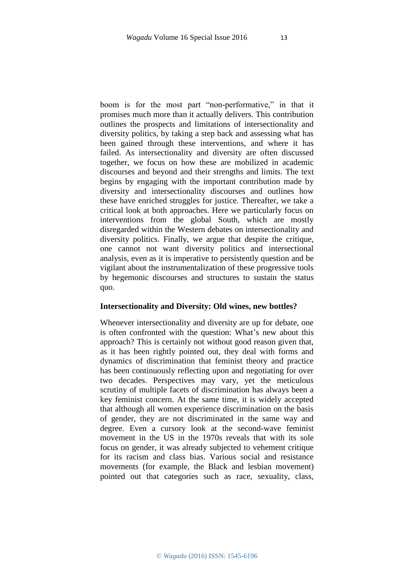boom is for the most part "non-performative," in that it promises much more than it actually delivers. This contribution outlines the prospects and limitations of intersectionality and diversity politics, by taking a step back and assessing what has been gained through these interventions, and where it has failed. As intersectionality and diversity are often discussed together, we focus on how these are mobilized in academic discourses and beyond and their strengths and limits. The text begins by engaging with the important contribution made by diversity and intersectionality discourses and outlines how these have enriched struggles for justice. Thereafter, we take a critical look at both approaches. Here we particularly focus on interventions from the global South, which are mostly disregarded within the Western debates on intersectionality and diversity politics. Finally, we argue that despite the critique, one cannot not want diversity politics and intersectional analysis, even as it is imperative to persistently question and be vigilant about the instrumentalization of these progressive tools by hegemonic discourses and structures to sustain the status quo.

#### **Intersectionality and Diversity: Old wines, new bottles?**

Whenever intersectionality and diversity are up for debate, one is often confronted with the question: What's new about this approach? This is certainly not without good reason given that, as it has been rightly pointed out, they deal with forms and dynamics of discrimination that feminist theory and practice has been continuously reflecting upon and negotiating for over two decades. Perspectives may vary, yet the meticulous scrutiny of multiple facets of discrimination has always been a key feminist concern. At the same time, it is widely accepted that although all women experience discrimination on the basis of gender, they are not discriminated in the same way and degree. Even a cursory look at the second-wave feminist movement in the US in the 1970s reveals that with its sole focus on gender, it was already subjected to vehement critique for its racism and class bias. Various social and resistance movements (for example, the Black and lesbian movement) pointed out that categories such as race, sexuality, class,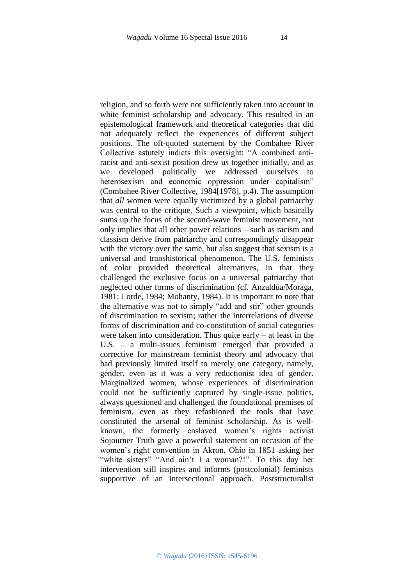religion, and so forth were not sufficiently taken into account in white feminist scholarship and advocacy. This resulted in an epistemological framework and theoretical categories that did not adequately reflect the experiences of different subject positions. The oft-quoted statement by the Combahee River Collective astutely indicts this oversight: "A combined antiracist and anti-sexist position drew us together initially, and as we developed politically we addressed ourselves to heterosexism and economic oppression under capitalism" (Combahee River Collective, 1984[1978], p.4). The assumption that *all* women were equally victimized by a global patriarchy was central to the critique. Such a viewpoint, which basically sums up the focus of the second-wave feminist movement, not only implies that all other power relations – such as racism and classism derive from patriarchy and correspondingly disappear with the victory over the same, but also suggest that sexism is a universal and transhistorical phenomenon. The U.S. feminists of color provided theoretical alternatives, in that they challenged the exclusive focus on a universal patriarchy that neglected other forms of discrimination (cf. Anzaldúa/Moraga, 1981; Lorde, 1984; Mohanty, 1984). It is important to note that the alternative was not to simply "add and stir" other grounds of discrimination to sexism; rather the interrelations of diverse forms of discrimination and co-constitution of social categories were taken into consideration. Thus quite early – at least in the U.S. – a multi-issues feminism emerged that provided a corrective for mainstream feminist theory and advocacy that had previously limited itself to merely one category, namely, gender, even as it was a very reductionist idea of gender. Marginalized women, whose experiences of discrimination could not be sufficiently captured by single-issue politics, always questioned and challenged the foundational premises of feminism, even as they refashioned the tools that have constituted the arsenal of feminist scholarship. As is wellknown, the formerly enslaved women's rights activist Sojourner Truth gave a powerful statement on occasion of the women's right convention in Akron, Ohio in 1851 asking her "white sisters" "And ain't I a woman?!". To this day her intervention still inspires and informs (postcolonial) feminists supportive of an intersectional approach. Poststructuralist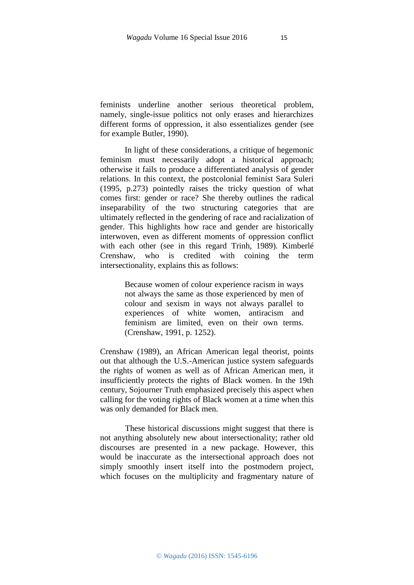feminists underline another serious theoretical problem, namely, single-issue politics not only erases and hierarchizes different forms of oppression, it also essentializes gender (see for example Butler, 1990).

In light of these considerations, a critique of hegemonic feminism must necessarily adopt a historical approach; otherwise it fails to produce a differentiated analysis of gender relations. In this context, the postcolonial feminist Sara Suleri (1995, p.273) pointedly raises the tricky question of what comes first: gender or race? She thereby outlines the radical inseparability of the two structuring categories that are ultimately reflected in the gendering of race and racialization of gender. This highlights how race and gender are historically interwoven, even as different moments of oppression conflict with each other (see in this regard Trinh, 1989). Kimberlé Crenshaw, who is credited with coining the term intersectionality, explains this as follows:

> Because women of colour experience racism in ways not always the same as those experienced by men of colour and sexism in ways not always parallel to experiences of white women, antiracism and feminism are limited, even on their own terms. (Crenshaw, 1991, p. 1252).

Crenshaw (1989), an African American legal theorist, points out that although the U.S.-American justice system safeguards the rights of women as well as of African American men, it insufficiently protects the rights of Black women. In the 19th century, Sojourner Truth emphasized precisely this aspect when calling for the voting rights of Black women at a time when this was only demanded for Black men.

These historical discussions might suggest that there is not anything absolutely new about intersectionality; rather old discourses are presented in a new package. However, this would be inaccurate as the intersectional approach does not simply smoothly insert itself into the postmodern project, which focuses on the multiplicity and fragmentary nature of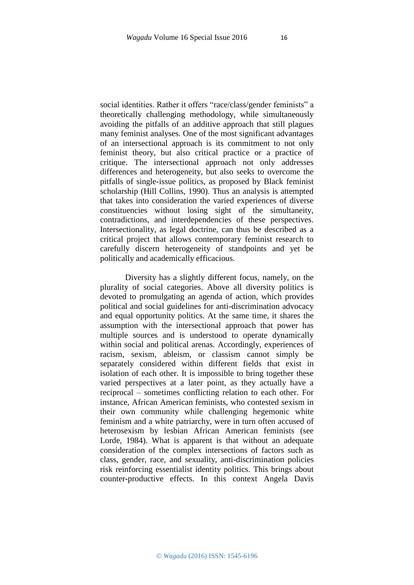social identities. Rather it offers "race/class/gender feminists" a theoretically challenging methodology, while simultaneously avoiding the pitfalls of an additive approach that still plagues many feminist analyses. One of the most significant advantages of an intersectional approach is its commitment to not only feminist theory, but also critical practice or a practice of critique. The intersectional approach not only addresses differences and heterogeneity, but also seeks to overcome the pitfalls of single-issue politics, as proposed by Black feminist scholarship (Hill Collins, 1990). Thus an analysis is attempted that takes into consideration the varied experiences of diverse constituencies without losing sight of the simultaneity, contradictions, and interdependencies of these perspectives. Intersectionality, as legal doctrine, can thus be described as a critical project that allows contemporary feminist research to carefully discern heterogeneity of standpoints and yet be politically and academically efficacious.

Diversity has a slightly different focus, namely, on the plurality of social categories. Above all diversity politics is devoted to promulgating an agenda of action, which provides political and social guidelines for anti-discrimination advocacy and equal opportunity politics. At the same time, it shares the assumption with the intersectional approach that power has multiple sources and is understood to operate dynamically within social and political arenas. Accordingly, experiences of racism, sexism, ableism, or classism cannot simply be separately considered within different fields that exist in isolation of each other. It is impossible to bring together these varied perspectives at a later point, as they actually have a reciprocal – sometimes conflicting relation to each other. For instance, African American feminists, who contested sexism in their own community while challenging hegemonic white feminism and a white patriarchy, were in turn often accused of heterosexism by lesbian African American feminists (see Lorde, 1984). What is apparent is that without an adequate consideration of the complex intersections of factors such as class, gender, race, and sexuality, anti-discrimination policies risk reinforcing essentialist identity politics. This brings about counter-productive effects. In this context Angela Davis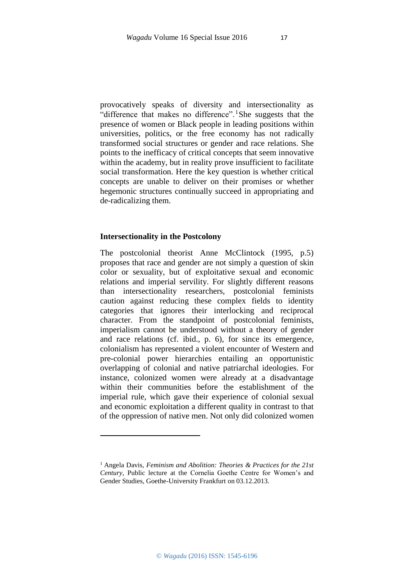provocatively speaks of diversity and intersectionality as "difference that makes no difference".<sup>1</sup>She suggests that the presence of women or Black people in leading positions within universities, politics, or the free economy has not radically transformed social structures or gender and race relations. She points to the inefficacy of critical concepts that seem innovative within the academy, but in reality prove insufficient to facilitate social transformation. Here the key question is whether critical concepts are unable to deliver on their promises or whether hegemonic structures continually succeed in appropriating and de-radicalizing them.

### **Intersectionality in the Postcolony**

 $\overline{a}$ 

The postcolonial theorist Anne McClintock (1995, p.5) proposes that race and gender are not simply a question of skin color or sexuality, but of exploitative sexual and economic relations and imperial servility. For slightly different reasons than intersectionality researchers, postcolonial feminists caution against reducing these complex fields to identity categories that ignores their interlocking and reciprocal character. From the standpoint of postcolonial feminists, imperialism cannot be understood without a theory of gender and race relations (cf. ibid., p. 6), for since its emergence, colonialism has represented a violent encounter of Western and pre-colonial power hierarchies entailing an opportunistic overlapping of colonial and native patriarchal ideologies. For instance, colonized women were already at a disadvantage within their communities before the establishment of the imperial rule, which gave their experience of colonial sexual and economic exploitation a different quality in contrast to that of the oppression of native men. Not only did colonized women

<sup>1</sup> Angela Davis, *Feminism and Abolition: Theories & Practices for the 21st Century,* Public lecture at the Cornelia Goethe Centre for Women's and Gender Studies, Goethe-University Frankfurt on 03.12.2013.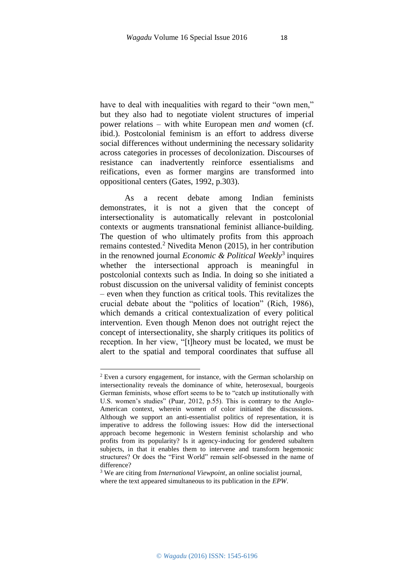have to deal with inequalities with regard to their "own men," but they also had to negotiate violent structures of imperial power relations – with white European men *and* women (cf. ibid.). Postcolonial feminism is an effort to address diverse social differences without undermining the necessary solidarity across categories in processes of decolonization. Discourses of resistance can inadvertently reinforce essentialisms and reifications, even as former margins are transformed into oppositional centers (Gates, 1992, p.303).

As a recent debate among Indian feminists demonstrates, it is not a given that the concept of intersectionality is automatically relevant in postcolonial contexts or augments transnational feminist alliance-building. The question of who ultimately profits from this approach remains contested.<sup>2</sup> Nivedita Menon (2015), in her contribution in the renowned journal *Economic & Political Weekly*<sup>3</sup> inquires whether the intersectional approach is meaningful in postcolonial contexts such as India. In doing so she initiated a robust discussion on the universal validity of feminist concepts – even when they function as critical tools. This revitalizes the crucial debate about the "politics of location" (Rich, 1986), which demands a critical contextualization of every political intervention. Even though Menon does not outright reject the concept of intersectionality, she sharply critiques its politics of reception. In her view, "[t]heory must be located, we must be alert to the spatial and temporal coordinates that suffuse all

**.** 

<sup>2</sup> Even a cursory engagement, for instance, with the German scholarship on intersectionality reveals the dominance of white, heterosexual, bourgeois German feminists, whose effort seems to be to "catch up institutionally with U.S. women's studies" (Puar, 2012, p.55). This is contrary to the Anglo-American context, wherein women of color initiated the discussions. Although we support an anti-essentialist politics of representation, it is imperative to address the following issues: How did the intersectional approach become hegemonic in Western feminist scholarship and who profits from its popularity? Is it agency-inducing for gendered subaltern subjects, in that it enables them to intervene and transform hegemonic structures? Or does the "First World" remain self-obsessed in the name of difference?

<sup>3</sup> We are citing from *International Viewpoint*, an online socialist journal, where the text appeared simultaneous to its publication in the *EPW*.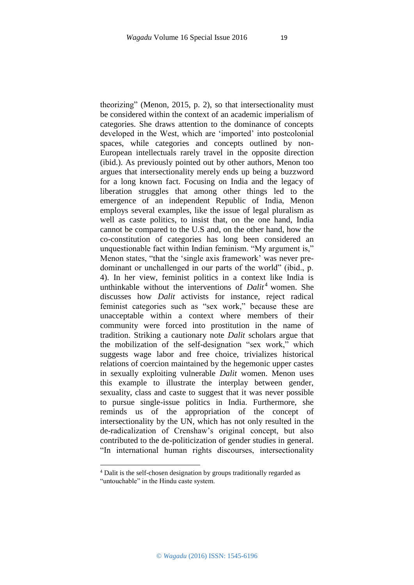theorizing" (Menon, 2015, p. 2), so that intersectionality must be considered within the context of an academic imperialism of categories. She draws attention to the dominance of concepts developed in the West, which are 'imported' into postcolonial spaces, while categories and concepts outlined by non-European intellectuals rarely travel in the opposite direction (ibid.). As previously pointed out by other authors, Menon too argues that intersectionality merely ends up being a buzzword for a long known fact. Focusing on India and the legacy of liberation struggles that among other things led to the emergence of an independent Republic of India, Menon employs several examples, like the issue of legal pluralism as well as caste politics, to insist that, on the one hand, India cannot be compared to the U.S and, on the other hand, how the co-constitution of categories has long been considered an unquestionable fact within Indian feminism. "My argument is," Menon states, "that the 'single axis framework' was never predominant or unchallenged in our parts of the world" (ibid., p. 4). In her view, feminist politics in a context like India is unthinkable without the interventions of *Dalit<sup>4</sup>* women. She discusses how *Dalit* activists for instance, reject radical feminist categories such as "sex work," because these are unacceptable within a context where members of their community were forced into prostitution in the name of tradition. Striking a cautionary note *Dalit* scholars argue that the mobilization of the self-designation "sex work," which suggests wage labor and free choice, trivializes historical relations of coercion maintained by the hegemonic upper castes in sexually exploiting vulnerable *Dalit* women. Menon uses this example to illustrate the interplay between gender, sexuality, class and caste to suggest that it was never possible to pursue single-issue politics in India. Furthermore, she reminds us of the appropriation of the concept of intersectionality by the UN, which has not only resulted in the de-radicalization of Crenshaw's original concept, but also contributed to the de-politicization of gender studies in general. "In international human rights discourses, intersectionality

**.** 

<sup>4</sup> Dalit is the self-chosen designation by groups traditionally regarded as "untouchable" in the Hindu caste system.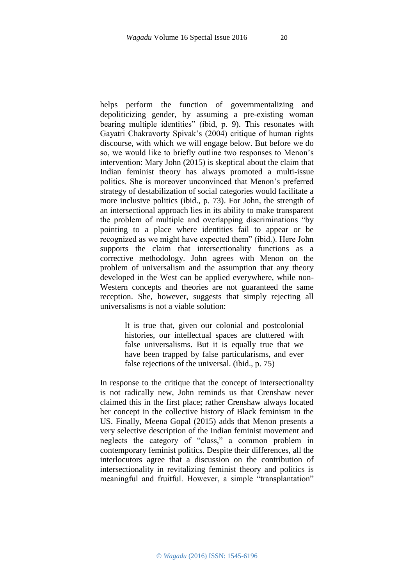helps perform the function of governmentalizing and depoliticizing gender, by assuming a pre-existing woman bearing multiple identities" (ibid, p. 9). This resonates with Gayatri Chakravorty Spivak's (2004) critique of human rights discourse, with which we will engage below. But before we do so, we would like to briefly outline two responses to Menon's intervention: Mary John (2015) is skeptical about the claim that Indian feminist theory has always promoted a multi-issue politics. She is moreover unconvinced that Menon's preferred strategy of destabilization of social categories would facilitate a more inclusive politics (ibid., p. 73). For John, the strength of an intersectional approach lies in its ability to make transparent the problem of multiple and overlapping discriminations "by pointing to a place where identities fail to appear or be recognized as we might have expected them" (ibid.). Here John supports the claim that intersectionality functions as a corrective methodology. John agrees with Menon on the problem of universalism and the assumption that any theory developed in the West can be applied everywhere, while non-Western concepts and theories are not guaranteed the same reception. She, however, suggests that simply rejecting all universalisms is not a viable solution:

> It is true that, given our colonial and postcolonial histories, our intellectual spaces are cluttered with false universalisms. But it is equally true that we have been trapped by false particularisms, and ever false rejections of the universal. (ibid., p. 75)

In response to the critique that the concept of intersectionality is not radically new, John reminds us that Crenshaw never claimed this in the first place; rather Crenshaw always located her concept in the collective history of Black feminism in the US. Finally, Meena Gopal (2015) adds that Menon presents a very selective description of the Indian feminist movement and neglects the category of "class," a common problem in contemporary feminist politics. Despite their differences, all the interlocutors agree that a discussion on the contribution of intersectionality in revitalizing feminist theory and politics is meaningful and fruitful. However, a simple "transplantation"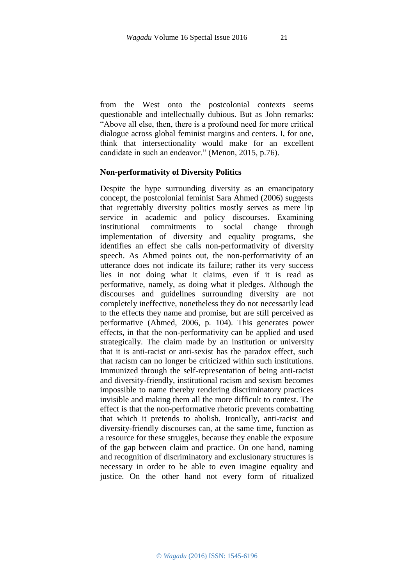from the West onto the postcolonial contexts seems questionable and intellectually dubious. But as John remarks: "Above all else, then, there is a profound need for more critical dialogue across global feminist margins and centers. I, for one, think that intersectionality would make for an excellent candidate in such an endeavor." (Menon, 2015, p.76).

### **Non-performativity of Diversity Politics**

Despite the hype surrounding diversity as an emancipatory concept, the postcolonial feminist Sara Ahmed (2006) suggests that regrettably diversity politics mostly serves as mere lip service in academic and policy discourses. Examining institutional commitments to social change through implementation of diversity and equality programs, she identifies an effect she calls non-performativity of diversity speech. As Ahmed points out, the non-performativity of an utterance does not indicate its failure; rather its very success lies in not doing what it claims, even if it is read as performative, namely, as doing what it pledges. Although the discourses and guidelines surrounding diversity are not completely ineffective, nonetheless they do not necessarily lead to the effects they name and promise, but are still perceived as performative (Ahmed, 2006, p. 104). This generates power effects, in that the non-performativity can be applied and used strategically. The claim made by an institution or university that it is anti-racist or anti-sexist has the paradox effect, such that racism can no longer be criticized within such institutions. Immunized through the self-representation of being anti-racist and diversity-friendly, institutional racism and sexism becomes impossible to name thereby rendering discriminatory practices invisible and making them all the more difficult to contest. The effect is that the non-performative rhetoric prevents combatting that which it pretends to abolish. Ironically, anti-racist and diversity-friendly discourses can, at the same time, function as a resource for these struggles, because they enable the exposure of the gap between claim and practice. On one hand, naming and recognition of discriminatory and exclusionary structures is necessary in order to be able to even imagine equality and justice. On the other hand not every form of ritualized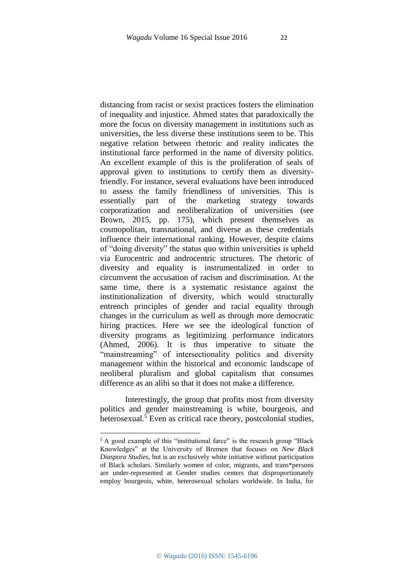distancing from racist or sexist practices fosters the elimination of inequality and injustice. Ahmed states that paradoxically the more the focus on diversity management in institutions such as universities, the less diverse these institutions seem to be. This negative relation between rhetoric and reality indicates the institutional farce performed in the name of diversity politics. An excellent example of this is the proliferation of seals of approval given to institutions to certify them as diversityfriendly. For instance, several evaluations have been introduced to assess the family friendliness of universities. This is essentially part of the marketing strategy towards corporatization and neoliberalization of universities (see Brown, 2015, pp. 175), which present themselves as cosmopolitan, transnational, and diverse as these credentials influence their international ranking. However, despite claims of "doing diversity" the status quo within universities is upheld via Eurocentric and androcentric structures. The rhetoric of diversity and equality is instrumentalized in order to circumvent the accusation of racism and discrimination. At the same time, there is a systematic resistance against the institutionalization of diversity, which would structurally entrench principles of gender and racial equality through changes in the curriculum as well as through more democratic hiring practices. Here we see the ideological function of diversity programs as legitimizing performance indicators (Ahmed, 2006). It is thus imperative to situate the "mainstreaming" of intersectionality politics and diversity management within the historical and economic landscape of neoliberal pluralism and global capitalism that consumes difference as an alibi so that it does not make a difference.

Interestingly, the group that profits most from diversity politics and gender mainstreaming is white, bourgeois, and heterosexual.<sup>5</sup> Even as critical race theory, postcolonial studies,

1

<sup>&</sup>lt;sup>5</sup> A good example of this "institutional farce" is the research group "Black Knowledges" at the University of Bremen that focuses on *New Black Diaspora Studies*, but is an exclusively white initiative without participation of Black scholars. Similarly women of color, migrants, and trans\*persons are under-represented at Gender studies centers that disproportionately employ bourgeois, white, heterosexual scholars worldwide. In India, for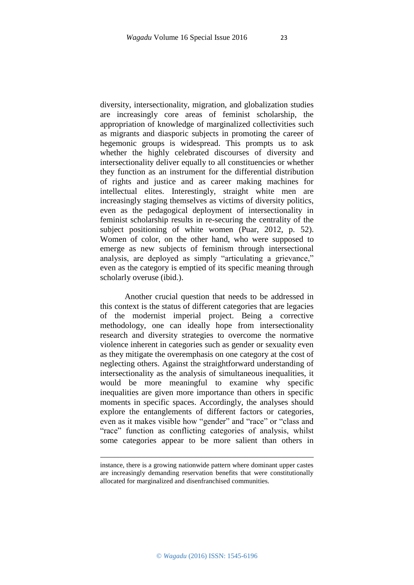diversity, intersectionality, migration, and globalization studies are increasingly core areas of feminist scholarship, the appropriation of knowledge of marginalized collectivities such as migrants and diasporic subjects in promoting the career of hegemonic groups is widespread. This prompts us to ask whether the highly celebrated discourses of diversity and intersectionality deliver equally to all constituencies or whether they function as an instrument for the differential distribution of rights and justice and as career making machines for intellectual elites. Interestingly, straight white men are increasingly staging themselves as victims of diversity politics, even as the pedagogical deployment of intersectionality in feminist scholarship results in re-securing the centrality of the subject positioning of white women (Puar, 2012, p. 52). Women of color, on the other hand, who were supposed to emerge as new subjects of feminism through intersectional analysis, are deployed as simply "articulating a grievance," even as the category is emptied of its specific meaning through scholarly overuse (ibid.).

Another crucial question that needs to be addressed in this context is the status of different categories that are legacies of the modernist imperial project. Being a corrective methodology, one can ideally hope from intersectionality research and diversity strategies to overcome the normative violence inherent in categories such as gender or sexuality even as they mitigate the overemphasis on one category at the cost of neglecting others. Against the straightforward understanding of intersectionality as the analysis of simultaneous inequalities, it would be more meaningful to examine why specific inequalities are given more importance than others in specific moments in specific spaces. Accordingly, the analyses should explore the entanglements of different factors or categories, even as it makes visible how "gender" and "race" or "class and "race" function as conflicting categories of analysis, whilst some categories appear to be more salient than others in

1

instance, there is a growing nationwide pattern where dominant upper castes are increasingly demanding reservation benefits that were constitutionally allocated for marginalized and disenfranchised communities.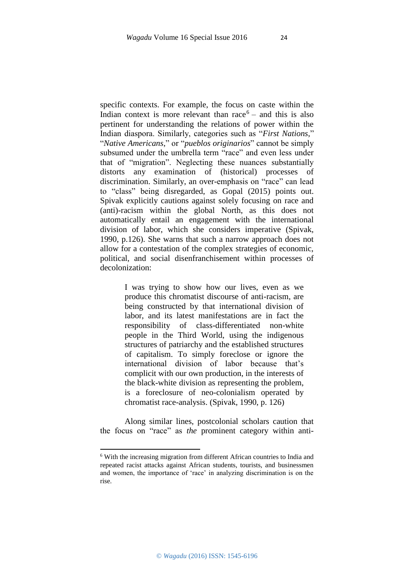specific contexts. For example, the focus on caste within the Indian context is more relevant than  $race<sup>6</sup> -$  and this is also pertinent for understanding the relations of power within the Indian diaspora. Similarly, categories such as "*First Nations*," "*Native Americans*," or "*pueblos originarios*" cannot be simply subsumed under the umbrella term "race" and even less under that of "migration". Neglecting these nuances substantially distorts any examination of (historical) processes of discrimination. Similarly, an over-emphasis on "race" can lead to "class" being disregarded, as Gopal (2015) points out. Spivak explicitly cautions against solely focusing on race and (anti)-racism within the global North, as this does not automatically entail an engagement with the international division of labor, which she considers imperative (Spivak, 1990, p.126). She warns that such a narrow approach does not allow for a contestation of the complex strategies of economic, political, and social disenfranchisement within processes of decolonization:

> I was trying to show how our lives, even as we produce this chromatist discourse of anti-racism, are being constructed by that international division of labor, and its latest manifestations are in fact the responsibility of class-differentiated non-white people in the Third World, using the indigenous structures of patriarchy and the established structures of capitalism. To simply foreclose or ignore the international division of labor because that's complicit with our own production, in the interests of the black-white division as representing the problem, is a foreclosure of neo-colonialism operated by chromatist race-analysis. (Spivak, 1990, p. 126)

Along similar lines, postcolonial scholars caution that the focus on "race" as *the* prominent category within anti-

**.** 

<sup>6</sup> With the increasing migration from different African countries to India and repeated racist attacks against African students, tourists, and businessmen and women, the importance of 'race' in analyzing discrimination is on the rise.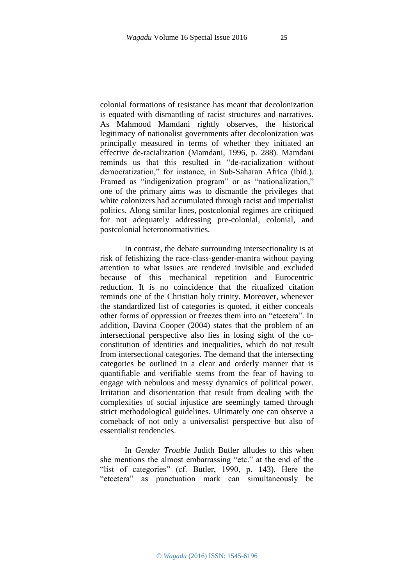colonial formations of resistance has meant that decolonization is equated with dismantling of racist structures and narratives. As Mahmood Mamdani rightly observes, the historical legitimacy of nationalist governments after decolonization was principally measured in terms of whether they initiated an effective de-racialization (Mamdani, 1996, p. 288). Mamdani reminds us that this resulted in "de-racialization without democratization," for instance, in Sub-Saharan Africa (ibid.). Framed as "indigenization program" or as "nationalization," one of the primary aims was to dismantle the privileges that white colonizers had accumulated through racist and imperialist politics. Along similar lines, postcolonial regimes are critiqued for not adequately addressing pre-colonial, colonial, and postcolonial heteronormativities.

In contrast, the debate surrounding intersectionality is at risk of fetishizing the race-class-gender-mantra without paying attention to what issues are rendered invisible and excluded because of this mechanical repetition and Eurocentric reduction. It is no coincidence that the ritualized citation reminds one of the Christian holy trinity. Moreover, whenever the standardized list of categories is quoted, it either conceals other forms of oppression or freezes them into an "etcetera". In addition, Davina Cooper (2004) states that the problem of an intersectional perspective also lies in losing sight of the coconstitution of identities and inequalities, which do not result from intersectional categories. The demand that the intersecting categories be outlined in a clear and orderly manner that is quantifiable and verifiable stems from the fear of having to engage with nebulous and messy dynamics of political power. Irritation and disorientation that result from dealing with the complexities of social injustice are seemingly tamed through strict methodological guidelines. Ultimately one can observe a comeback of not only a universalist perspective but also of essentialist tendencies.

In *Gender Trouble* Judith Butler alludes to this when she mentions the almost embarrassing "etc." at the end of the "list of categories" (cf. Butler, 1990, p. 143). Here the "etcetera" as punctuation mark can simultaneously be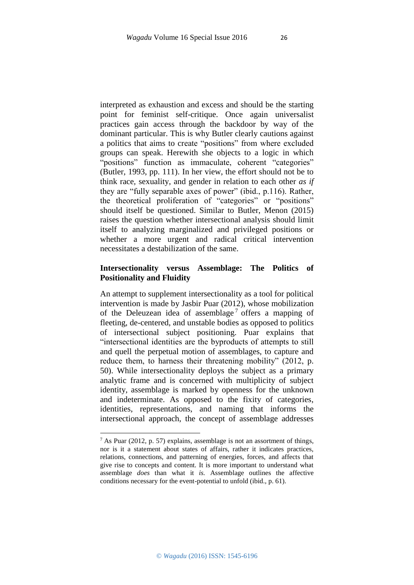interpreted as exhaustion and excess and should be the starting point for feminist self-critique. Once again universalist practices gain access through the backdoor by way of the dominant particular. This is why Butler clearly cautions against a politics that aims to create "positions" from where excluded groups can speak. Herewith she objects to a logic in which "positions" function as immaculate, coherent "categories" (Butler, 1993, pp. 111). In her view, the effort should not be to think race*,* sexuality, and gender in relation to each other *as if* they are "fully separable axes of power" (ibid., p.116). Rather, the theoretical proliferation of "categories" or "positions" should itself be questioned. Similar to Butler, Menon (2015) raises the question whether intersectional analysis should limit itself to analyzing marginalized and privileged positions or whether a more urgent and radical critical intervention necessitates a destabilization of the same.

# **Intersectionality versus Assemblage: The Politics of Positionality and Fluidity**

An attempt to supplement intersectionality as a tool for political intervention is made by Jasbir Puar (2012), whose mobilization of the Deleuzean idea of assemblage<sup>7</sup> offers a mapping of fleeting, de-centered, and unstable bodies as opposed to politics of intersectional subject positioning. Puar explains that "intersectional identities are the byproducts of attempts to still and quell the perpetual motion of assemblages, to capture and reduce them, to harness their threatening mobility" (2012, p. 50). While intersectionality deploys the subject as a primary analytic frame and is concerned with multiplicity of subject identity, assemblage is marked by openness for the unknown and indeterminate. As opposed to the fixity of categories, identities, representations, and naming that informs the intersectional approach, the concept of assemblage addresses

1

 $^7$  As Puar (2012, p. 57) explains, assemblage is not an assortment of things, nor is it a statement about states of affairs, rather it indicates practices, relations, connections, and patterning of energies, forces, and affects that give rise to concepts and content. It is more important to understand what assemblage *does* than what it *is.* Assemblage outlines the affective conditions necessary for the event-potential to unfold (ibid., p. 61).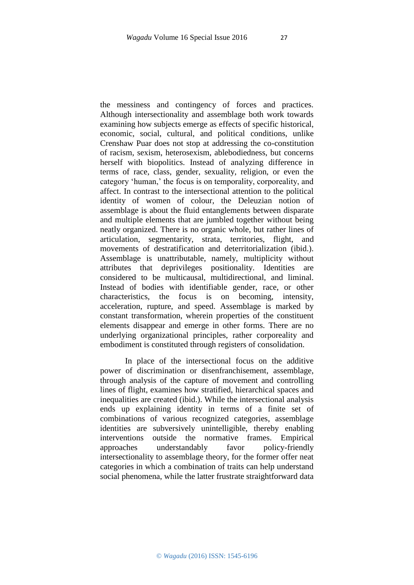the messiness and contingency of forces and practices. Although intersectionality and assemblage both work towards examining how subjects emerge as effects of specific historical, economic, social, cultural, and political conditions, unlike Crenshaw Puar does not stop at addressing the co-constitution of racism, sexism, heterosexism, ablebodiedness, but concerns herself with biopolitics. Instead of analyzing difference in terms of race, class, gender, sexuality, religion, or even the category 'human,' the focus is on temporality, corporeality, and affect. In contrast to the intersectional attention to the political identity of women of colour, the Deleuzian notion of assemblage is about the fluid entanglements between disparate and multiple elements that are jumbled together without being neatly organized. There is no organic whole, but rather lines of articulation, segmentarity, strata, territories, flight, and movements of destratification and deterritorialization (ibid.). Assemblage is unattributable, namely, multiplicity without attributes that deprivileges positionality. Identities are considered to be multicausal, multidirectional, and liminal. Instead of bodies with identifiable gender, race, or other characteristics, the focus is on becoming, intensity, acceleration, rupture, and speed. Assemblage is marked by constant transformation, wherein properties of the constituent elements disappear and emerge in other forms. There are no underlying organizational principles, rather corporeality and embodiment is constituted through registers of consolidation.

In place of the intersectional focus on the additive power of discrimination or disenfranchisement, assemblage, through analysis of the capture of movement and controlling lines of flight, examines how stratified, hierarchical spaces and inequalities are created (ibid.). While the intersectional analysis ends up explaining identity in terms of a finite set of combinations of various recognized categories, assemblage identities are subversively unintelligible, thereby enabling interventions outside the normative frames. Empirical approaches understandably favor policy-friendly intersectionality to assemblage theory, for the former offer neat categories in which a combination of traits can help understand social phenomena, while the latter frustrate straightforward data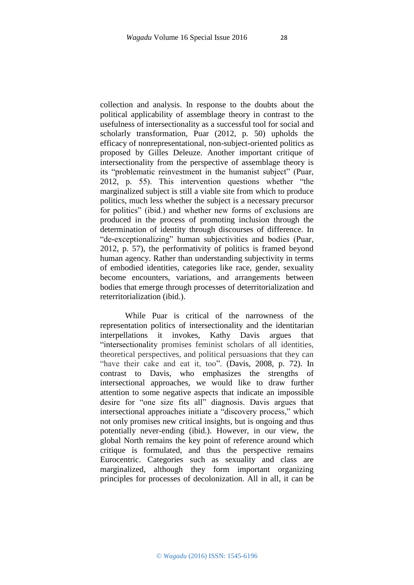collection and analysis. In response to the doubts about the political applicability of assemblage theory in contrast to the usefulness of intersectionality as a successful tool for social and scholarly transformation, Puar (2012, p. 50) upholds the efficacy of nonrepresentational, non-subject-oriented politics as proposed by Gilles Deleuze. Another important critique of intersectionality from the perspective of assemblage theory is its "problematic reinvestment in the humanist subject" (Puar, 2012, p. 55). This intervention questions whether "the marginalized subject is still a viable site from which to produce politics, much less whether the subject is a necessary precursor for politics" (ibid.) and whether new forms of exclusions are produced in the process of promoting inclusion through the determination of identity through discourses of difference. In "de-exceptionalizing" human subjectivities and bodies (Puar, 2012, p. 57), the performativity of politics is framed beyond human agency. Rather than understanding subjectivity in terms of embodied identities, categories like race, gender, sexuality become encounters, variations, and arrangements between bodies that emerge through processes of deterritorialization and reterritorialization (ibid.).

While Puar is critical of the narrowness of the representation politics of intersectionality and the identitarian interpellations it invokes, Kathy Davis argues that "intersectionality promises feminist scholars of all identities, theoretical perspectives, and political persuasions that they can "have their cake and eat it, too". (Davis, 2008, p. 72). In contrast to Davis, who emphasizes the strengths of intersectional approaches, we would like to draw further attention to some negative aspects that indicate an impossible desire for "one size fits all" diagnosis. Davis argues that intersectional approaches initiate a "discovery process," which not only promises new critical insights, but is ongoing and thus potentially never-ending (ibid.). However, in our view, the global North remains the key point of reference around which critique is formulated, and thus the perspective remains Eurocentric. Categories such as sexuality and class are marginalized, although they form important organizing principles for processes of decolonization. All in all, it can be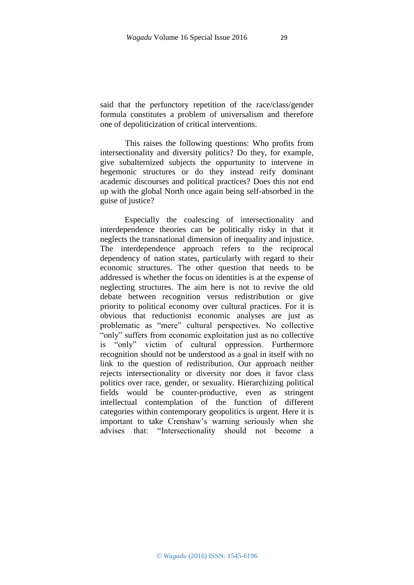said that the perfunctory repetition of the race/class/gender formula constitutes a problem of universalism and therefore one of depoliticization of critical interventions.

This raises the following questions: Who profits from intersectionality and diversity politics? Do they, for example, give subalternized subjects the opportunity to intervene in hegemonic structures or do they instead reify dominant academic discourses and political practices? Does this not end up with the global North once again being self-absorbed in the guise of justice?

Especially the coalescing of intersectionality and interdependence theories can be politically risky in that it neglects the transnational dimension of inequality and injustice. The interdependence approach refers to the reciprocal dependency of nation states, particularly with regard to their economic structures. The other question that needs to be addressed is whether the focus on identities is at the expense of neglecting structures. The aim here is not to revive the old debate between recognition versus redistribution or give priority to political economy over cultural practices. For it is obvious that reductionist economic analyses are just as problematic as "mere" cultural perspectives. No collective "only" suffers from economic exploitation just as no collective is "only" victim of cultural oppression. Furthermore recognition should not be understood as a goal in itself with no link to the question of redistribution. Our approach neither rejects intersectionality or diversity nor does it favor class politics over race*,* gender, or sexuality*.* Hierarchizing political fields would be counter-productive, even as stringent intellectual contemplation of the function of different categories within contemporary geopolitics is urgent. Here it is important to take Crenshaw's warning seriously when she advises that: "Intersectionality should not become a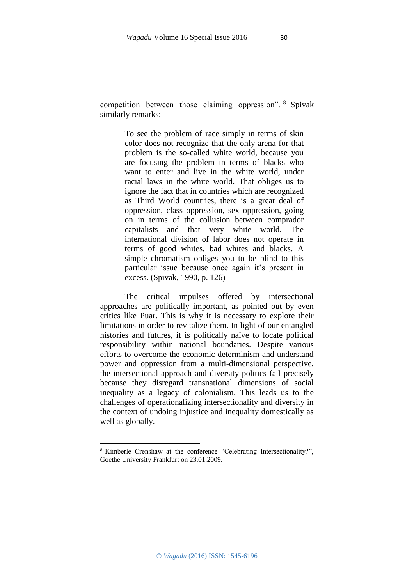competition between those claiming oppression". <sup>8</sup> Spivak similarly remarks:

> To see the problem of race simply in terms of skin color does not recognize that the only arena for that problem is the so-called white world, because you are focusing the problem in terms of blacks who want to enter and live in the white world, under racial laws in the white world. That obliges us to ignore the fact that in countries which are recognized as Third World countries, there is a great deal of oppression, class oppression, sex oppression, going on in terms of the collusion between comprador capitalists and that very white world. The international division of labor does not operate in terms of good whites, bad whites and blacks. A simple chromatism obliges you to be blind to this particular issue because once again it's present in excess. (Spivak, 1990, p. 126)

The critical impulses offered by intersectional approaches are politically important, as pointed out by even critics like Puar. This is why it is necessary to explore their limitations in order to revitalize them. In light of our entangled histories and futures, it is politically naïve to locate political responsibility within national boundaries. Despite various efforts to overcome the economic determinism and understand power and oppression from a multi-dimensional perspective, the intersectional approach and diversity politics fail precisely because they disregard transnational dimensions of social inequality as a legacy of colonialism. This leads us to the challenges of operationalizing intersectionality and diversity in the context of undoing injustice and inequality domestically as well as globally.

1

<sup>8</sup> Kimberle Crenshaw at the conference "Celebrating Intersectionality?", Goethe University Frankfurt on 23.01.2009.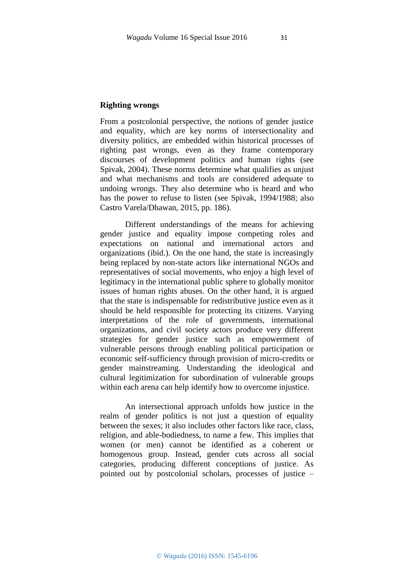### **Righting wrongs**

From a postcolonial perspective, the notions of gender justice and equality, which are key norms of intersectionality and diversity politics, are embedded within historical processes of righting past wrongs, even as they frame contemporary discourses of development politics and human rights (see Spivak, 2004). These norms determine what qualifies as unjust and what mechanisms and tools are considered adequate to undoing wrongs. They also determine who is heard and who has the power to refuse to listen (see Spivak, 1994/1988; also Castro Varela/Dhawan, 2015, pp. 186).

Different understandings of the means for achieving gender justice and equality impose competing roles and expectations on national and international actors and organizations (ibid.). On the one hand, the state is increasingly being replaced by non-state actors like international NGOs and representatives of social movements, who enjoy a high level of legitimacy in the international public sphere to globally monitor issues of human rights abuses. On the other hand, it is argued that the state is indispensable for redistributive justice even as it should be held responsible for protecting its citizens. Varying interpretations of the role of governments, international organizations, and civil society actors produce very different strategies for gender justice such as empowerment of vulnerable persons through enabling political participation or economic self-sufficiency through provision of micro-credits or gender mainstreaming. Understanding the ideological and cultural legitimization for subordination of vulnerable groups within each arena can help identify how to overcome injustice.

An intersectional approach unfolds how justice in the realm of gender politics is not just a question of equality between the sexes; it also includes other factors like race, class, religion, and able-bodiedness, to name a few. This implies that women (or men) cannot be identified as a coherent or homogenous group. Instead, gender cuts across all social categories, producing different conceptions of justice. As pointed out by postcolonial scholars, processes of justice –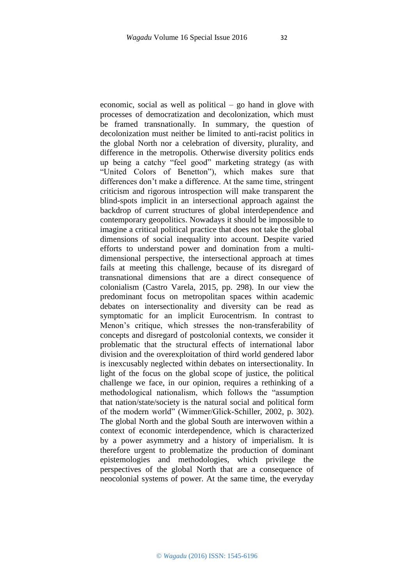economic, social as well as political – go hand in glove with processes of democratization and decolonization, which must be framed transnationally. In summary, the question of decolonization must neither be limited to anti-racist politics in the global North nor a celebration of diversity, plurality, and difference in the metropolis. Otherwise diversity politics ends up being a catchy "feel good" marketing strategy (as with "United Colors of Benetton"), which makes sure that differences don't make a difference. At the same time, stringent criticism and rigorous introspection will make transparent the blind-spots implicit in an intersectional approach against the backdrop of current structures of global interdependence and contemporary geopolitics. Nowadays it should be impossible to imagine a critical political practice that does not take the global dimensions of social inequality into account. Despite varied efforts to understand power and domination from a multidimensional perspective, the intersectional approach at times fails at meeting this challenge, because of its disregard of transnational dimensions that are a direct consequence of colonialism (Castro Varela, 2015, pp. 298). In our view the predominant focus on metropolitan spaces within academic debates on intersectionality and diversity can be read as symptomatic for an implicit Eurocentrism. In contrast to Menon's critique, which stresses the non-transferability of concepts and disregard of postcolonial contexts, we consider it problematic that the structural effects of international labor division and the overexploitation of third world gendered labor is inexcusably neglected within debates on intersectionality. In light of the focus on the global scope of justice, the political challenge we face, in our opinion, requires a rethinking of a methodological nationalism, which follows the "assumption that nation/state/society is the natural social and political form of the modern world" (Wimmer/Glick-Schiller, 2002, p. 302). The global North and the global South are interwoven within a context of economic interdependence, which is characterized by a power asymmetry and a history of imperialism. It is therefore urgent to problematize the production of dominant epistemologies and methodologies, which privilege the perspectives of the global North that are a consequence of neocolonial systems of power. At the same time, the everyday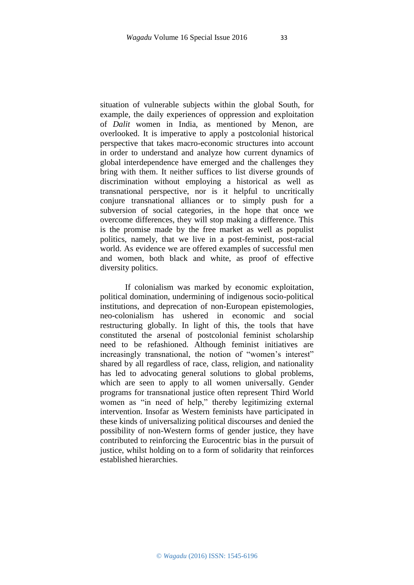situation of vulnerable subjects within the global South, for example, the daily experiences of oppression and exploitation of *Dalit* women in India, as mentioned by Menon, are overlooked. It is imperative to apply a postcolonial historical perspective that takes macro-economic structures into account in order to understand and analyze how current dynamics of global interdependence have emerged and the challenges they bring with them. It neither suffices to list diverse grounds of discrimination without employing a historical as well as transnational perspective, nor is it helpful to uncritically conjure transnational alliances or to simply push for a subversion of social categories, in the hope that once we overcome differences, they will stop making a difference. This is the promise made by the free market as well as populist politics, namely, that we live in a post-feminist, post-racial world. As evidence we are offered examples of successful men and women, both black and white, as proof of effective diversity politics.

If colonialism was marked by economic exploitation, political domination, undermining of indigenous socio-political institutions, and deprecation of non-European epistemologies, neo-colonialism has ushered in economic and social restructuring globally. In light of this, the tools that have constituted the arsenal of postcolonial feminist scholarship need to be refashioned. Although feminist initiatives are increasingly transnational, the notion of "women's interest" shared by all regardless of race, class, religion, and nationality has led to advocating general solutions to global problems, which are seen to apply to all women universally. Gender programs for transnational justice often represent Third World women as "in need of help," thereby legitimizing external intervention. Insofar as Western feminists have participated in these kinds of universalizing political discourses and denied the possibility of non-Western forms of gender justice, they have contributed to reinforcing the Eurocentric bias in the pursuit of justice, whilst holding on to a form of solidarity that reinforces established hierarchies.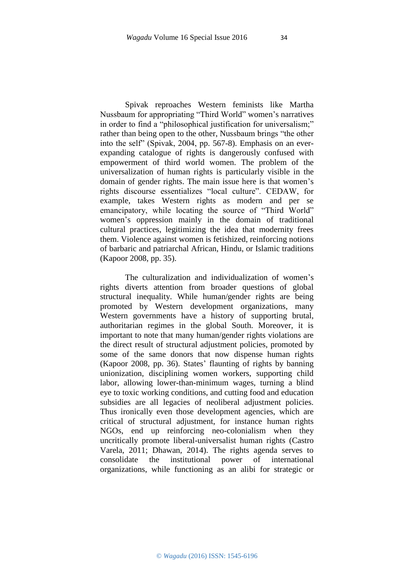Spivak reproaches Western feminists like Martha Nussbaum for appropriating "Third World" women's narratives in order to find a "philosophical justification for universalism;" rather than being open to the other, Nussbaum brings "the other into the self" (Spivak, 2004, pp. 567-8). Emphasis on an everexpanding catalogue of rights is dangerously confused with empowerment of third world women. The problem of the universalization of human rights is particularly visible in the domain of gender rights. The main issue here is that women's rights discourse essentializes "local culture". CEDAW, for example, takes Western rights as modern and per se emancipatory, while locating the source of "Third World" women's oppression mainly in the domain of traditional cultural practices, legitimizing the idea that modernity frees them. Violence against women is fetishized, reinforcing notions of barbaric and patriarchal African, Hindu, or Islamic traditions (Kapoor 2008, pp. 35).

The culturalization and individualization of women's rights diverts attention from broader questions of global structural inequality. While human/gender rights are being promoted by Western development organizations, many Western governments have a history of supporting brutal, authoritarian regimes in the global South. Moreover, it is important to note that many human/gender rights violations are the direct result of structural adjustment policies, promoted by some of the same donors that now dispense human rights (Kapoor 2008, pp. 36). States' flaunting of rights by banning unionization, disciplining women workers, supporting child labor, allowing lower-than-minimum wages, turning a blind eye to toxic working conditions, and cutting food and education subsidies are all legacies of neoliberal adjustment policies. Thus ironically even those development agencies, which are critical of structural adjustment, for instance human rights NGOs, end up reinforcing neo-colonialism when they uncritically promote liberal-universalist human rights (Castro Varela, 2011; Dhawan, 2014). The rights agenda serves to consolidate the institutional power of international organizations, while functioning as an alibi for strategic or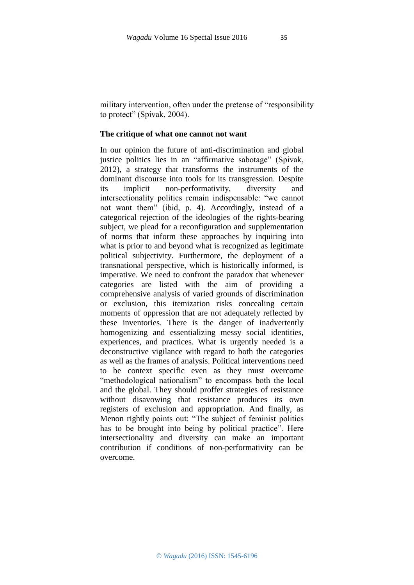military intervention, often under the pretense of "responsibility to protect" (Spivak, 2004).

### **The critique of what one cannot not want**

In our opinion the future of anti-discrimination and global justice politics lies in an "affirmative sabotage" (Spivak, 2012), a strategy that transforms the instruments of the dominant discourse into tools for its transgression. Despite its implicit non-performativity, diversity and intersectionality politics remain indispensable: "we cannot not want them" (ibid, p. 4). Accordingly, instead of a categorical rejection of the ideologies of the rights-bearing subject, we plead for a reconfiguration and supplementation of norms that inform these approaches by inquiring into what is prior to and beyond what is recognized as legitimate political subjectivity. Furthermore, the deployment of a transnational perspective, which is historically informed, is imperative. We need to confront the paradox that whenever categories are listed with the aim of providing a comprehensive analysis of varied grounds of discrimination or exclusion, this itemization risks concealing certain moments of oppression that are not adequately reflected by these inventories. There is the danger of inadvertently homogenizing and essentializing messy social identities, experiences, and practices. What is urgently needed is a deconstructive vigilance with regard to both the categories as well as the frames of analysis. Political interventions need to be context specific even as they must overcome "methodological nationalism" to encompass both the local and the global. They should proffer strategies of resistance without disavowing that resistance produces its own registers of exclusion and appropriation. And finally, as Menon rightly points out: "The subject of feminist politics has to be brought into being by political practice". Here intersectionality and diversity can make an important contribution if conditions of non-performativity can be overcome.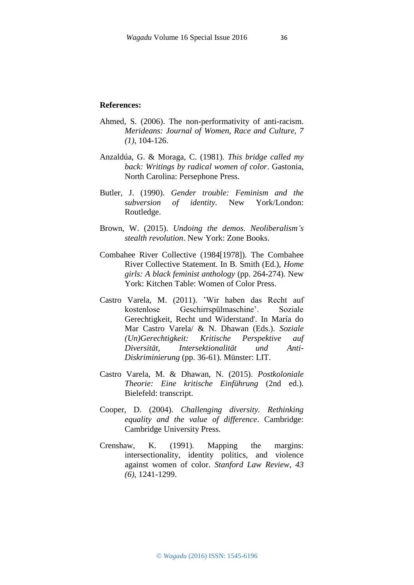#### **References:**

- Ahmed, S. (2006). The non-performativity of anti-racism. *Merideans: Journal of Women, Race and Culture, 7 (1)*, 104-126.
- Anzaldúa, G. & Moraga, C. (1981). *This bridge called my back: Writings by radical women of color*. Gastonia, North Carolina: Persephone Press.
- Butler, J. (1990). *Gender trouble: Feminism and the subversion of identity.* New York/London: Routledge.
- Brown, W. (2015). *Undoing the demos. Neoliberalism's stealth revolution*. New York: Zone Books.
- Combahee River Collective (1984[1978]). The Combahee River Collective Statement. In B. Smith (Ed.), *Home girls: A black feminist anthology* (pp. 264-274). New York: Kitchen Table: Women of Color Press.
- Castro Varela, M. (2011). 'Wir haben das Recht auf kostenlose Geschirrspülmaschine'. Soziale Gerechtigkeit, Recht und Widerstand'. In María do Mar Castro Varela/ & N. Dhawan (Eds.). *Soziale (Un)Gerechtigkeit: Kritische Perspektive auf Diversität, Intersektionalität und Anti-Diskriminierung* (pp. 36-61). Münster: LIT.
- Castro Varela, M. & Dhawan, N. (2015). *Postkoloniale Theorie: Eine kritische Einführung* (2nd ed.)*.*  Bielefeld: transcript.
- Cooper, D. (2004). *Challenging diversity. Rethinking equality and the value of difference*. Cambridge: Cambridge University Press.
- Crenshaw, K. (1991). Mapping the margins: intersectionality, identity politics, and violence against women of color. *Stanford Law Review*, *43 (6)*, 1241-1299.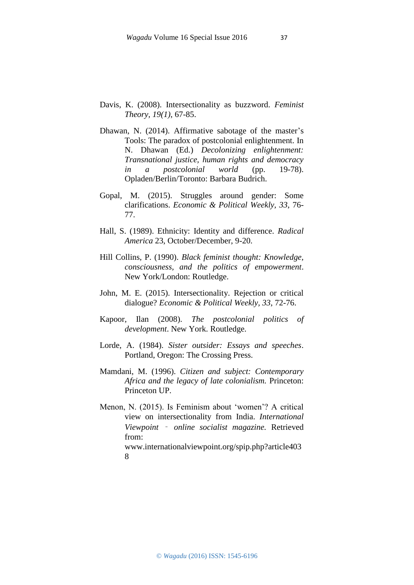- Davis, K. (2008). Intersectionality as buzzword. *Feminist Theory, 19(1)*, 67-85.
- Dhawan, N. (2014). Affirmative sabotage of the master's Tools: The paradox of postcolonial enlightenment. In N. Dhawan (Ed.) *Decolonizing enlightenment: Transnational justice, human rights and democracy in a postcolonial world* (pp. 19-78). Opladen/Berlin/Toronto: Barbara Budrich.
- Gopal, M. (2015). Struggles around gender: Some clarifications. *Economic & Political Weekly, 33*, 76- 77.
- Hall, S. (1989). Ethnicity: Identity and difference. *Radical America* 23, October/December, 9-20.
- Hill Collins, P. (1990). *Black feminist thought: Knowledge, consciousness, and the politics of empowerment*. New York/London: Routledge.
- John, M. E. (2015). Intersectionality. Rejection or critical dialogue? *Economic & Political Weekly, 33*, 72-76.
- Kapoor, Ilan (2008). *The postcolonial politics of development*. New York. Routledge.
- Lorde, A. (1984). *Sister outsider: Essays and speeches*. Portland, Oregon: The Crossing Press.
- Mamdani, M. (1996). *Citizen and subject: Contemporary Africa and the legacy of late colonialism.* Princeton: Princeton UP.
- Menon, N. (2015). Is Feminism about 'women'? A critical view on intersectionality from India. *International Viewpoint* ‑ *online socialist magazine.* Retrieved from: www.internationalviewpoint.org/spip.php?article403

<sup>8</sup>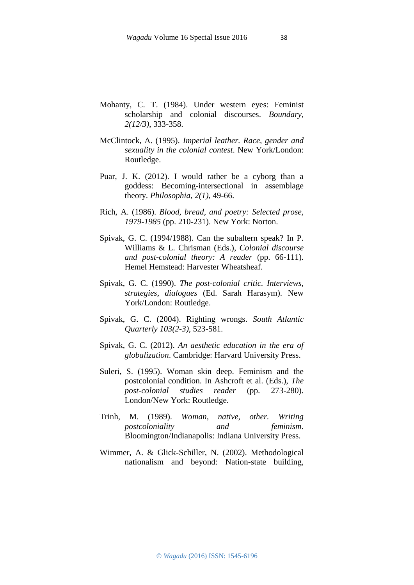- Mohanty, C. T. (1984). Under western eyes: Feminist scholarship and colonial discourses. *Boundary, 2(12/3)*, 333-358.
- McClintock, A. (1995). *Imperial leather. Race, gender and sexuality in the colonial contest*. New York/London: Routledge.
- Puar, J. K. (2012). I would rather be a cyborg than a goddess: Becoming-intersectional in assemblage theory. *Philosophia*, *2(1)*, 49-66.
- Rich, A. (1986). *Blood, bread, and poetry: Selected prose, 1979-1985* (pp. 210-231). New York: Norton.
- Spivak, G. C. (1994/1988). Can the subaltern speak? In P. Williams & L. Chrisman (Eds.), *Colonial discourse and post-colonial theory: A reader* (pp. 66-111)*.* Hemel Hemstead: Harvester Wheatsheaf.
- Spivak, G. C. (1990). *The post-colonial critic. Interviews, strategies, dialogues* (Ed. Sarah Harasym). New York/London: Routledge.
- Spivak, G. C. (2004). Righting wrongs. *South Atlantic Quarterly 103(2-3)*, 523-581.
- Spivak, G. C. (2012). *An aesthetic education in the era of globalization*. Cambridge: Harvard University Press.
- Suleri, S. (1995). Woman skin deep. Feminism and the postcolonial condition. In Ashcroft et al. (Eds.), *The post-colonial studies reader* (pp. 273-280). London/New York: Routledge.
- Trinh, M. (1989). *Woman, native, other. Writing postcoloniality and feminism*. Bloomington/Indianapolis: Indiana University Press.
- Wimmer, A. & Glick-Schiller, N. (2002). Methodological nationalism and beyond: Nation-state building,